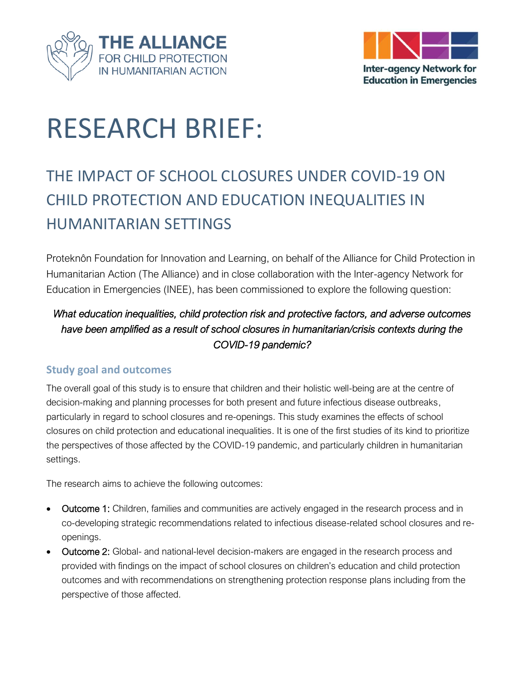



# RESEARCH BRIEF:

# THE IMPACT OF SCHOOL CLOSURES UNDER COVID-19 ON CHILD PROTECTION AND EDUCATION INEQUALITIES IN HUMANITARIAN SETTINGS

Proteknôn Foundation for Innovation and Learning, on behalf of the Alliance for Child Protection in Humanitarian Action (The Alliance) and in close collaboration with the Inter-agency Network for Education in Emergencies (INEE), has been commissioned to explore the following question:

# *What education inequalities, child protection risk and protective factors, and adverse outcomes have been amplified as a result of school closures in humanitarian/crisis contexts during the COVID-19 pandemic?*

#### **Study goal and outcomes**

The overall goal of this study is to ensure that children and their holistic well-being are at the centre of decision-making and planning processes for both present and future infectious disease outbreaks, particularly in regard to school closures and re-openings. This study examines the effects of school closures on child protection and educational inequalities. It is one of the first studies of its kind to prioritize the perspectives of those affected by the COVID-19 pandemic, and particularly children in humanitarian settings.

The research aims to achieve the following outcomes:

- Outcome 1: Children, families and communities are actively engaged in the research process and in co-developing strategic recommendations related to infectious disease-related school closures and reopenings.
- Outcome 2: Global- and national-level decision-makers are engaged in the research process and provided with findings on the impact of school closures on children's education and child protection outcomes and with recommendations on strengthening protection response plans including from the perspective of those affected.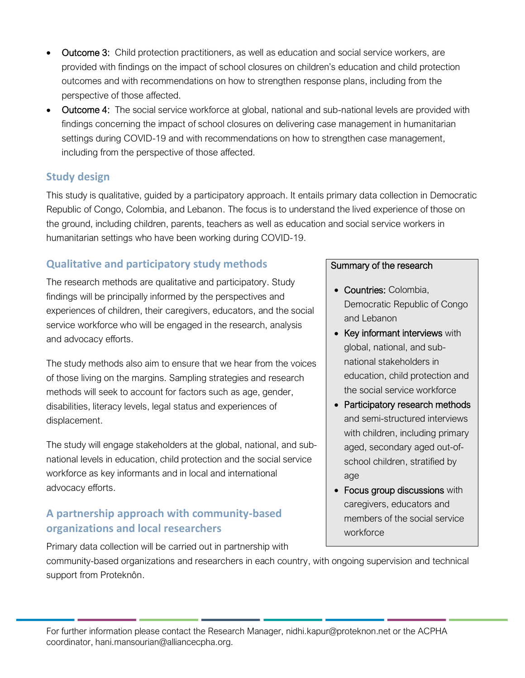- Outcome 3: Child protection practitioners, as well as education and social service workers, are provided with findings on the impact of school closures on children's education and child protection outcomes and with recommendations on how to strengthen response plans, including from the perspective of those affected.
- Outcome 4: The social service workforce at global, national and sub-national levels are provided with findings concerning the impact of school closures on delivering case management in humanitarian settings during COVID-19 and with recommendations on how to strengthen case management, including from the perspective of those affected.

#### **Study design**

This study is qualitative, guided by a participatory approach. It entails primary data collection in Democratic Republic of Congo, Colombia, and Lebanon. The focus is to understand the lived experience of those on the ground, including children, parents, teachers as well as education and social service workers in humanitarian settings who have been working during COVID-19.

## **Qualitative and participatory study methods**

The research methods are qualitative and participatory. Study findings will be principally informed by the perspectives and experiences of children, their caregivers, educators, and the social service workforce who will be engaged in the research, analysis and advocacy efforts.

The study methods also aim to ensure that we hear from the voices of those living on the margins. Sampling strategies and research methods will seek to account for factors such as age, gender, disabilities, literacy levels, legal status and experiences of displacement.

The study will engage stakeholders at the global, national, and subnational levels in education, child protection and the social service workforce as key informants and in local and international advocacy efforts.

### **A partnership approach with community-based organizations and local researchers**

Primary data collection will be carried out in partnership with

#### Summary of the research

- Countries: Colombia, Democratic Republic of Congo and Lebanon
- Key informant interviews with global, national, and subnational stakeholders in education, child protection and the social service workforce
- Participatory research methods and semi-structured interviews with children, including primary aged, secondary aged out-ofschool children, stratified by age
- Focus group discussions with caregivers, educators and members of the social service workforce

community-based organizations and researchers in each country, with ongoing supervision and technical support from Proteknôn.